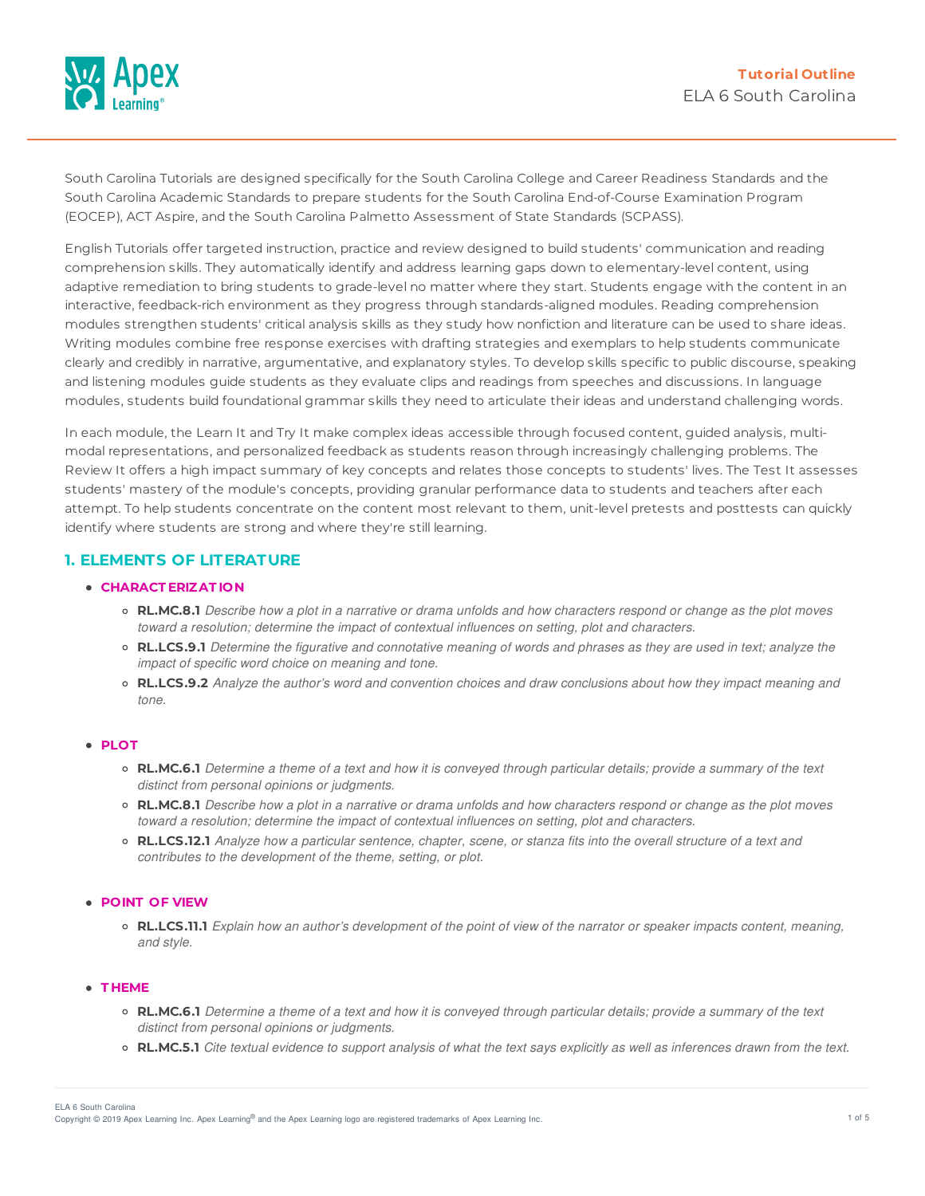

South Carolina Tutorials are designed specifically for the South Carolina College and Career Readiness Standards and the South Carolina Academic Standards to prepare students for the South Carolina End-of-Course Examination Program (EOCEP), ACT Aspire, and the South Carolina Palmetto Assessment of State Standards (SCPASS).

English Tutorials offer targeted instruction, practice and review designed to build students' communication and reading comprehension skills. They automatically identify and address learning gaps down to elementary-level content, using adaptive remediation to bring students to grade-level no matter where they start. Students engage with the content in an interactive, feedback-rich environment as they progress through standards-aligned modules. Reading comprehension modules strengthen students' critical analysis skills as they study how nonfiction and literature can be used to share ideas. Writing modules combine free response exercises with drafting strategies and exemplars to help students communicate clearly and credibly in narrative, argumentative, and explanatory styles. To develop skills specific to public discourse, speaking and listening modules guide students as they evaluate clips and readings from speeches and discussions. In language modules, students build foundational grammar skills they need to articulate their ideas and understand challenging words.

In each module, the Learn It and Try It make complex ideas accessible through focused content, guided analysis, multimodal representations, and personalized feedback as students reason through increasingly challenging problems. The Review It offers a high impact summary of key concepts and relates those concepts to students' lives. The Test It assesses students' mastery of the module's concepts, providing granular performance data to students and teachers after each attempt. To help students concentrate on the content most relevant to them, unit-level pretests and posttests can quickly identify where students are strong and where they're still learning.

## **1. ELEMENTS OF LITERATURE**

## **CHARACT ERIZAT ION**

- **RL,MC.8.1** Describe how a plot in a narrative or drama unfolds and how characters respond or change as the plot moves *toward a resolution; determine the impact of contextual influences on setting, plot and characters.*
- RL.LCS.9.1 Determine the figurative and connotative meaning of words and phrases as they are used in text; analyze the *impact of specific word choice on meaning and tone.*
- **RL.LCS.9.2** Analyze the author's word and convention choices and draw conclusions about how they impact meaning and *tone.*

#### **PLOT**

- RL.MC.6.1 Determine a theme of a text and how it is conveyed through particular details; provide a summary of the text *distinct from personal opinions or judgments.*
- o RL.MC.8.1 Describe how a plot in a narrative or drama unfolds and how characters respond or change as the plot moves *toward a resolution; determine the impact of contextual influences on setting, plot and characters.*
- o RL.LCS.12.1 Analyze how a particular sentence, chapter, scene, or stanza fits into the overall structure of a text and *contributes to the development of the theme, setting, or plot.*

### **POINT OF VIEW**

• RL.LCS.11.1 Explain how an author's development of the point of view of the narrator or speaker impacts content, meaning, *and style.*

## **T HEME**

- RL.MC.6.1 Determine a theme of a text and how it is conveyed through particular details; provide a summary of the text *distinct from personal opinions or judgments.*
- o RL.MC.5.1 Cite textual evidence to support analysis of what the text says explicitly as well as inferences drawn from the text.

Copyright © 2019 Apex Learning Inc. Apex Learning® and the Apex Learning logo are registered trademarks of Apex Learning Inc. <br>Copyright © 2019 Apex Learning Inc. Apex Learning® and the Apex Learning Iogo are registered tr ELA 6 South Carolina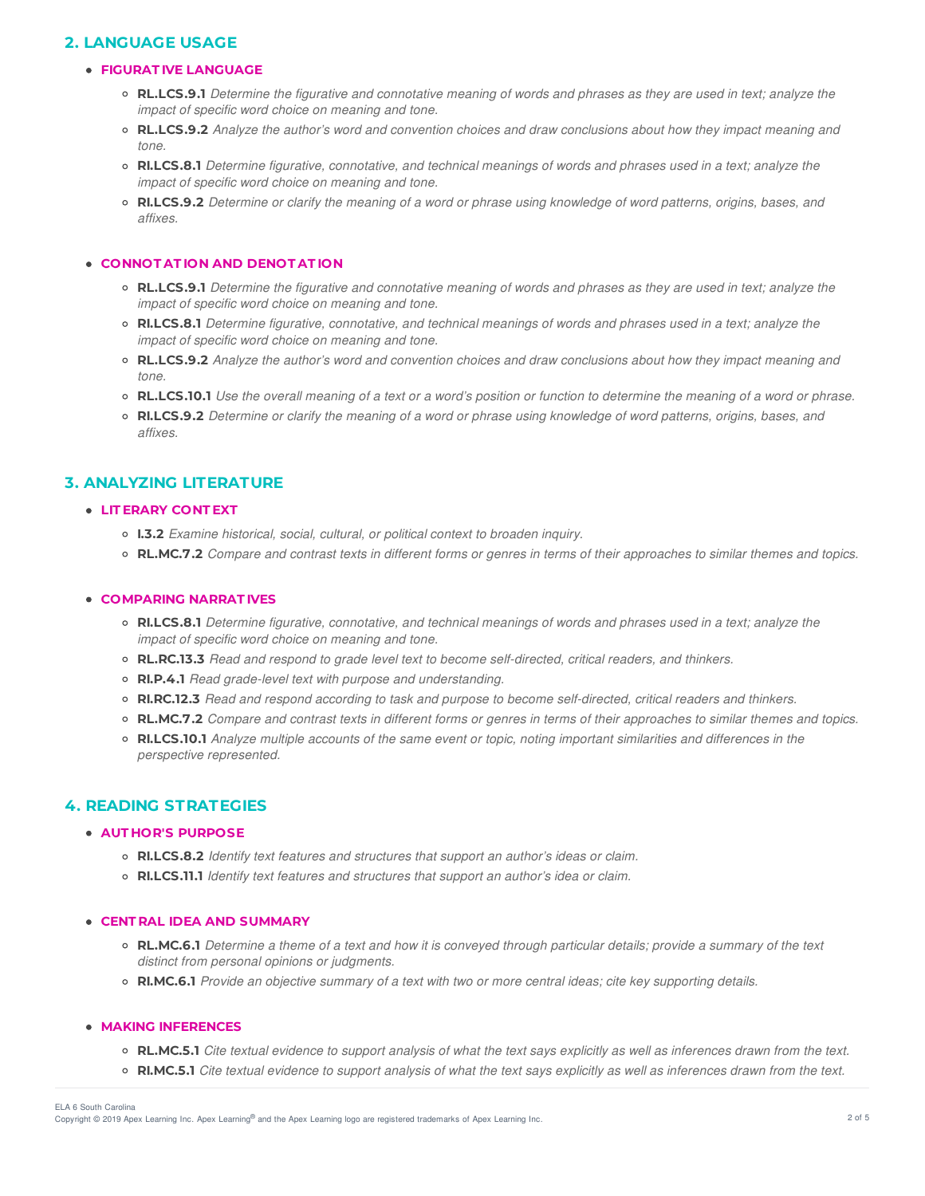# **2. LANGUAGE USAGE**

## **FIGURAT IVE LANGUAGE**

- o RL.LCS.9.1 Determine the figurative and connotative meaning of words and phrases as they are used in text; analyze the *impact of specific word choice on meaning and tone.*
- o RL.LCS.9.2 Analyze the author's word and convention choices and draw conclusions about how they impact meaning and *tone.*
- o RI.LCS.8.1 Determine figurative, connotative, and technical meanings of words and phrases used in a text; analyze the *impact of specific word choice on meaning and tone.*
- RILCS.9.2 Determine or clarify the meaning of a word or phrase using knowledge of word patterns, origins, bases, and *affixes.*

### **CONNOT AT ION AND DENOT AT ION**

- o RL.LCS.9.1 Determine the figurative and connotative meaning of words and phrases as they are used in text; analyze the *impact of specific word choice on meaning and tone.*
- RI.LCS.8.1 Determine figurative, connotative, and technical meanings of words and phrases used in a text; analyze the *impact of specific word choice on meaning and tone.*
- RL.LCS.9.2 Analyze the author's word and convention choices and draw conclusions about how they impact meaning and *tone.*
- RL.LCS.10.1 Use the overall meaning of a text or a word's position or function to determine the meaning of a word or phrase.
- RI.LCS.9.2 Determine or clarify the meaning of a word or phrase using knowledge of word patterns, origins, bases, and *affixes.*

## **3. ANALYZING LITERATURE**

#### **LIT ERARY CONT EXT**

- **I.3.2** *Examine historical, social, cultural, or political context to broaden inquiry.*
- RL.MC.7.2 Compare and contrast texts in different forms or genres in terms of their approaches to similar themes and topics.

## **COMPARING NARRAT IVES**

- RI.LCS.8.1 Determine figurative, connotative, and technical meanings of words and phrases used in a text; analyze the *impact of specific word choice on meaning and tone.*
- **RL.RC.13.3** *Read and respond to grade level text to become self-directed, critical readers, and thinkers.*
- **RI.P.4.1** *Read grade-level text with purpose and understanding.*
- o RI.RC.12.3 Read and respond according to task and purpose to become self-directed, critical readers and thinkers.
- o RL.MC.7.2 Compare and contrast texts in different forms or genres in terms of their approaches to similar themes and topics.
- RI.LCS.10.1 Analyze multiple accounts of the same event or topic, noting important similarities and differences in the *perspective represented.*

## **4. READING STRATEGIES**

#### **AUT HOR'S PURPOSE**

- **RI.LCS.8.2** *Identify text features and structures that support an author's ideas or claim.*
- **RI.LCS.11.1** *Identify text features and structures that support an author's idea or claim.*

### **CENT RAL IDEA AND SUMMARY**

- o RL.MC.6.1 Determine a theme of a text and how it is conveyed through particular details; provide a summary of the text *distinct from personal opinions or judgments.*
- o RI.MC.6.1 Provide an objective summary of a text with two or more central ideas; cite key supporting details.

## **MAKING INFERENCES**

- **RL.MC.5.1** Cite textual evidence to support analysis of what the text says explicitly as well as inferences drawn from the text.
- o RI.MC.5.1 Cite textual evidence to support analysis of what the text says explicitly as well as inferences drawn from the text.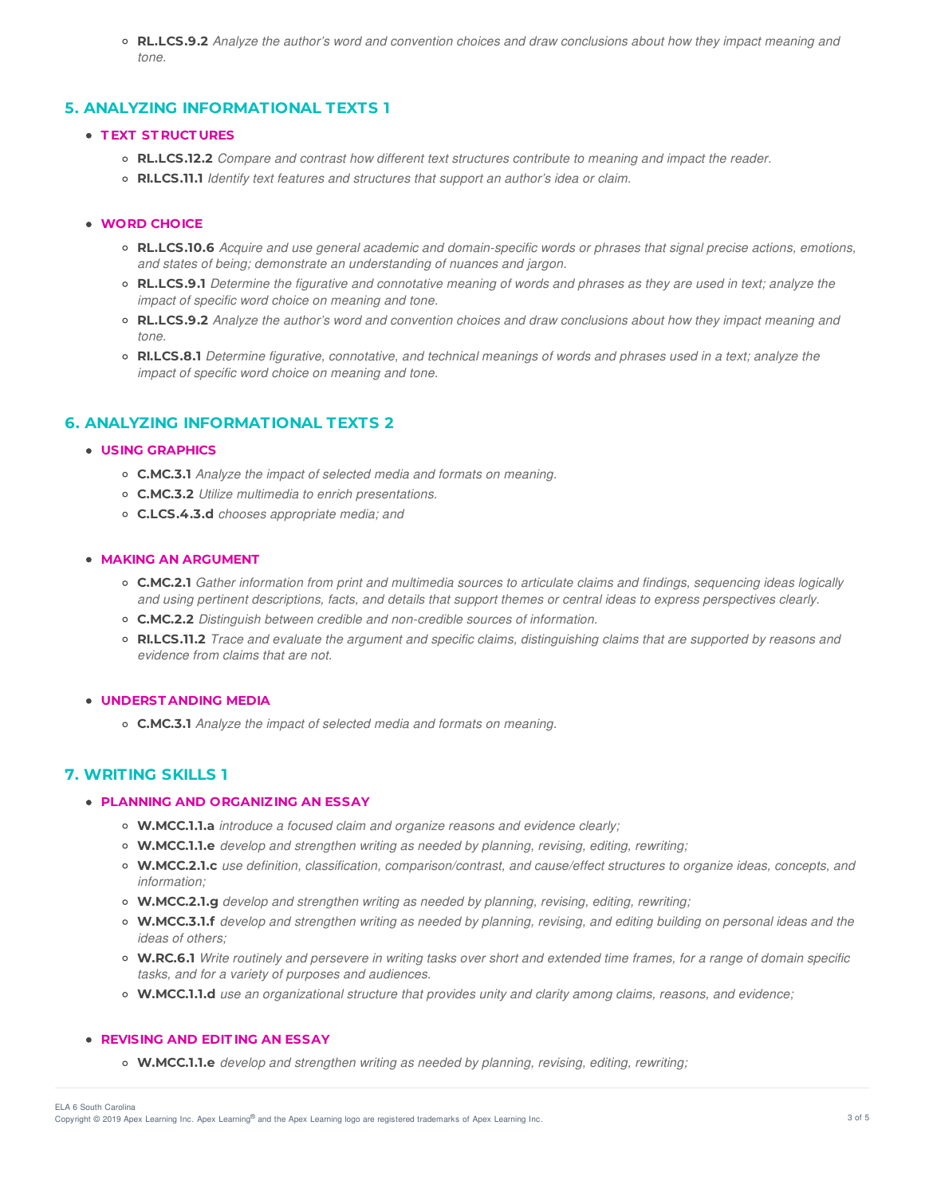○ RL.LCS.9.2 Analyze the author's word and convention choices and draw conclusions about how they impact meaning and *tone.*

## **5. ANALYZING INFORMATIONAL TEXTS 1**

## **T EXT ST RUCT URES**

- **RL.LCS.12.2** *Compare and contrast how different text structures contribute to meaning and impact the reader.*
- **RI.LCS.11.1** *Identify text features and structures that support an author's idea or claim.*

### **WORD CHOICE**

- o RL.LCS.10.6 Acquire and use general academic and domain-specific words or phrases that signal precise actions, emotions, *and states of being; demonstrate an understanding of nuances and jargon.*
- o RL.LCS.9.1 Determine the figurative and connotative meaning of words and phrases as they are used in text; analyze the *impact of specific word choice on meaning and tone.*
- RL.LCS.9.2 Analyze the author's word and convention choices and draw conclusions about how they impact meaning and *tone.*
- o RI.LCS.8.1 Determine figurative, connotative, and technical meanings of words and phrases used in a text; analyze the *impact of specific word choice on meaning and tone.*

## **6. ANALYZING INFORMATIONAL TEXTS 2**

#### **USING GRAPHICS**

- **C.MC.3.1** *Analyze the impact of selected media and formats on meaning.*
- **C.MC.3.2** *Utilize multimedia to enrich presentations.*
- **C.LCS.4.3.d** *chooses appropriate media; and*

### **MAKING AN ARGUMENT**

- C.MC.2.1 Gather information from print and multimedia sources to articulate claims and findings, sequencing ideas logically and using pertinent descriptions, facts, and details that support themes or central ideas to express perspectives clearly.
- **C.MC.2.2** *Distinguish between credible and non-credible sources of information.*
- RI.LCS.11.2 Trace and evaluate the argument and specific claims, distinguishing claims that are supported by reasons and *evidence from claims that are not.*

#### **UNDERST ANDING MEDIA**

**C.MC.3.1** *Analyze the impact of selected media and formats on meaning.*

## **7. WRITING SKILLS 1**

#### **PLANNING AND ORGANIZING AN ESSAY**

- **W.MCC.1.1.a** *introduce a focused claim and organize reasons and evidence clearly;*
- **W.MCC.1.1.e** *develop and strengthen writing as needed by planning, revising, editing, rewriting;*
- **W.MCC.2.1.c** *use definition, classification, comparison/contrast, and cause/effect structures to organize ideas, concepts, and information;*
- **W.MCC.2.1.g** *develop and strengthen writing as needed by planning, revising, editing, rewriting;*
- o W.MCC.3.1.f develop and strengthen writing as needed by planning, revising, and editing building on personal ideas and the *ideas of others;*
- o W.RC.6.1 Write routinely and persevere in writing tasks over short and extended time frames, for a range of domain specific *tasks, and for a variety of purposes and audiences.*
- **W.MCC.1.1.d** *use an organizational structure that provides unity and clarity among claims, reasons, and evidence;*

### **REVISING AND EDIT ING AN ESSAY**

**W.MCC.1.1.e** *develop and strengthen writing as needed by planning, revising, editing, rewriting;*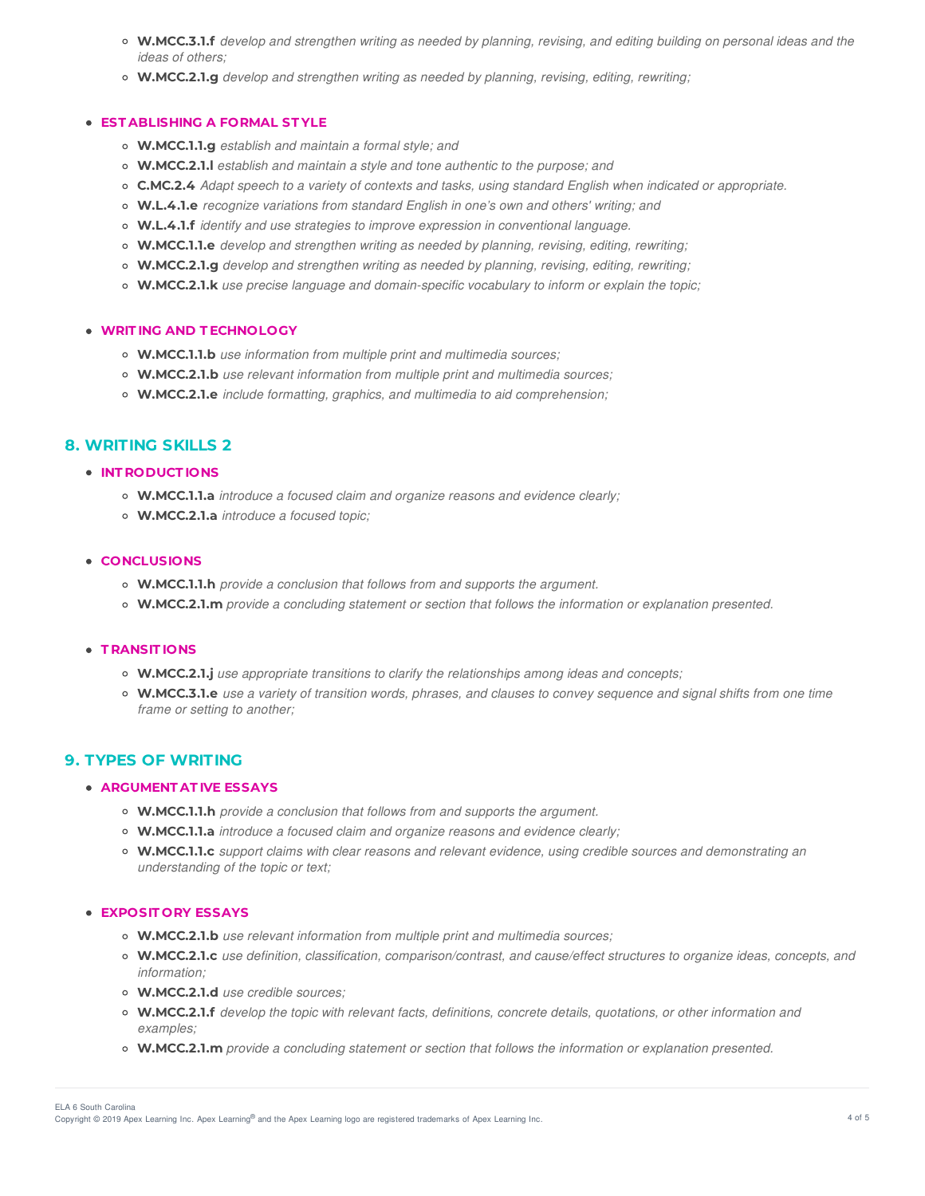- o W.MCC.3.1.f develop and strengthen writing as needed by planning, revising, and editing building on personal ideas and the *ideas of others;*
- **W.MCC.2.1.g** *develop and strengthen writing as needed by planning, revising, editing, rewriting;*

#### **EST ABLISHING A FORMAL ST YLE**

- **W.MCC.1.1.g** *establish and maintain a formal style; and*
- **W.MCC.2.1.l** *establish and maintain a style and tone authentic to the purpose; and*
- C.MC.2.4 Adapt speech to a variety of contexts and tasks, using standard English when indicated or appropriate.
- **W.L.4.1.e** *recognize variations from standard English in one's own and others' writing; and*
- **W.L.4.1.f** *identify and use strategies to improve expression in conventional language.*
- **W.MCC.1.1.e** *develop and strengthen writing as needed by planning, revising, editing, rewriting;*
- **W.MCC.2.1.g** *develop and strengthen writing as needed by planning, revising, editing, rewriting;*
- **W.MCC.2.1.k** *use precise language and domain-specific vocabulary to inform or explain the topic;*

#### **WRIT ING AND T ECHNOLOGY**

- **W.MCC.1.1.b** *use information from multiple print and multimedia sources;*
- **W.MCC.2.1.b** *use relevant information from multiple print and multimedia sources;*
- **W.MCC.2.1.e** *include formatting, graphics, and multimedia to aid comprehension;*

## **8. WRITING SKILLS 2**

**INT RODUCT IONS**

- **W.MCC.1.1.a** *introduce a focused claim and organize reasons and evidence clearly;*
- **W.MCC.2.1.a** *introduce a focused topic;*

## **CONCLUSIONS**

- **W.MCC.1.1.h** *provide a conclusion that follows from and supports the argument.*
- **W.MCC.2.1.m** *provide a concluding statement or section that follows the information or explanation presented.*

## **T RANSIT IONS**

- **W.MCC.2.1.j** *use appropriate transitions to clarify the relationships among ideas and concepts;*
- W.MCC.3.1.e use a variety of transition words, phrases, and clauses to convey sequence and signal shifts from one time *frame or setting to another;*

## **9. TYPES OF WRITING**

### **ARGUMENT AT IVE ESSAYS**

- **W.MCC.1.1.h** *provide a conclusion that follows from and supports the argument.*
- **W.MCC.1.1.a** *introduce a focused claim and organize reasons and evidence clearly;*
- **W.MCC.1.1.c** *support claims with clear reasons and relevant evidence, using credible sources and demonstrating an understanding of the topic or text;*

#### **EXPOSIT ORY ESSAYS**

- **W.MCC.2.1.b** *use relevant information from multiple print and multimedia sources;*
- **W.MCC.2.1.c** *use definition, classification, comparison/contrast, and cause/effect structures to organize ideas, concepts, and information;*
- **W.MCC.2.1.d** *use credible sources;*
- **W.MCC.2.1.f** *develop the topic with relevant facts, definitions, concrete details, quotations, or other information and examples;*
- **W.MCC.2.1.m** *provide a concluding statement or section that follows the information or explanation presented.*